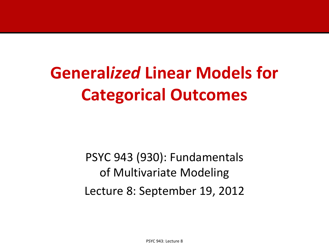# **General***ized* **Linear Models for Categorical Outcomes**

PSYC 943 (930): Fundamentals of Multivariate Modeling Lecture 8: September 19, 2012

PSYC 943: Lecture 8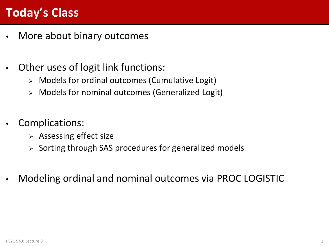## **Today's Class**

- More about binary outcomes
- Other uses of logit link functions:
	- Models for ordinal outcomes (Cumulative Logit)
	- Models for nominal outcomes (Generalized Logit)
- Complications:
	- $\triangleright$  Assessing effect size
	- $\triangleright$  Sorting through SAS procedures for generalized models
- Modeling ordinal and nominal outcomes via PROC LOGISTIC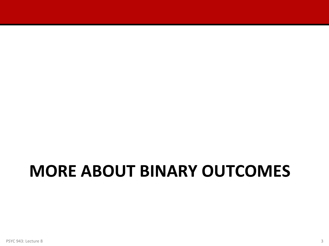# **MORE ABOUT BINARY OUTCOMES**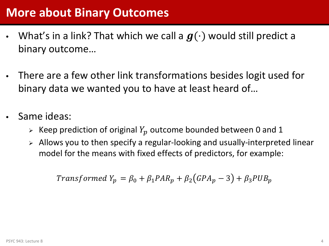- What's in a link? That which we call a  $g(\cdot)$  would still predict a binary outcome…
- There are a few other link transformations besides logit used for binary data we wanted you to have at least heard of…
- Same ideas:
	- $\triangleright$  Keep prediction of original  $Y_p$  outcome bounded between 0 and 1
	- Allows you to then specify a regular-looking and usually-interpreted linear model for the means with fixed effects of predictors, for example:

Transformed  $Y_p = \beta_0 + \beta_1 PAR_p + \beta_2 (GPA_p - 3) + \beta_3 PUB_p$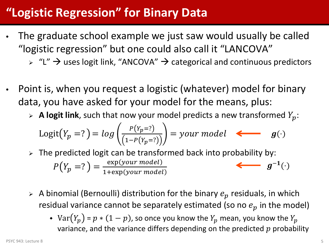#### **"Logistic Regression" for Binary Data**

- The graduate school example we just saw would usually be called "logistic regression" but one could also call it "LANCOVA"
	- $\triangleright$  "L"  $\rightarrow$  uses logit link, "ANCOVA"  $\rightarrow$  categorical and continuous predictors
- Point is, when you request a logistic (whatever) model for binary data, you have asked for your model for the means, plus:
	- $\triangleright$  **A logit link**, such that now your model predicts a new transformed  $Y_p$ :

$$
Logit(Y_p=?) = log\left(\frac{P(Y_p=?)}{(1-P(Y_p=?))}\right) = your model \quad \Longleftarrow \quad g(\cdot)
$$

- $\triangleright$  The predicted logit can be transformed back into probability by:  $P(Y_p = ? ) = \frac{\exp(your \ model)}{1 + \exp(vour \ model)}$ 1+exp  $\longleftarrow q^{-1}(\cdot)$
- $\triangleright$  A binomial (Bernoulli) distribution for the binary  $e_p$  residuals, in which residual variance cannot be separately estimated (so no  $e_p$  in the model)
	- $Var(Y_p) = p * (1 p)$ , so once you know the  $Y_p$  mean, you know the  $Y_p$ variance, and the variance differs depending on the predicted  $p$  probability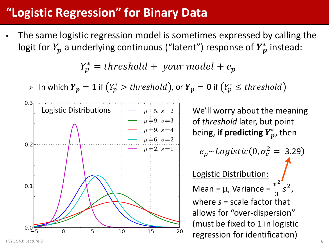# **"Logistic Regression" for Binary Data**

The same logistic regression model is sometimes expressed by calling the logit for  $Y_{\bm p}$  a underlying continuous ("latent") response of  $\bm Y^*_{\bm p}$  instead:

 $Y_p^* = threshold + your\ model + e_p$ 

 $\triangleright$   $\;$  In which  $\pmb{Y_p} = \mathbf{1}$  if  $\left(Y^*_{p} > threshold\right)$ , or  $\pmb{Y_p} = \mathbf{0}$  if  $\left(Y^*_{p} \leq threshold\right)$ 



We'll worry about the meaning of *threshold* later, but point being, **if predicting**  $Y_p^*$ , then

 $e_p \sim Logistic(0, \sigma_e^2 = 3.29)$ Logistic Distribution: Mean =  $\mu$ , Variance =  $\frac{\pi^2}{2}$ 3 2 , where *s* = scale factor that allows for "over-dispersion" (must be fixed to 1 in logistic regression for identification)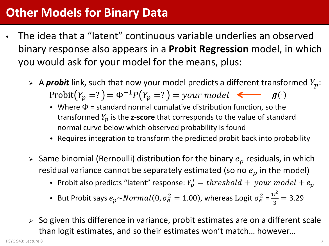#### **Other Models for Binary Data**

- The idea that a "latent" continuous variable underlies an observed binary response also appears in a **Probit Regression** model, in which you would ask for your model for the means, plus:
	- $\triangleright$  A **probit** link, such that now your model predicts a different transformed  $Y_p$ : Probit $(Y_p = ? ) = \Phi^{-1} P(Y_p = ? ) = your \ model \simeq g(\cdot)$ 
		- Where  $\Phi$  = standard normal cumulative distribution function, so the transformed  $Y_p$  is the **z-score** that corresponds to the value of standard normal curve below which observed probability is found
		- Requires integration to transform the predicted probit back into probability
	- $\triangleright$  Same binomial (Bernoulli) distribution for the binary  $e_p$  residuals, in which residual variance cannot be separately estimated (so no  $e_p$  in the model)
		- Probit also predicts "latent" response:  $Y_p^* = threshold + your\ model + e_p$
		- But Probit says  $e_p \sim Normal(0, \sigma_e^2 = 1.00)$ , whereas Logit  $\sigma_e^2 = \frac{\pi^2}{3}$  $\frac{1}{3}$  = 3.29
	- So given this difference in variance, probit estimates are on a different scale than logit estimates, and so their estimates won't match… however…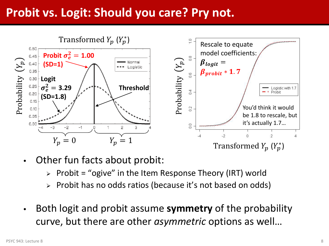#### **Probit vs. Logit: Should you care? Pry not.**



- Other fun facts about probit:
	- $\triangleright$  Probit = "ogive" in the Item Response Theory (IRT) world
	- Probit has no odds ratios (because it's not based on odds)
- Both logit and probit assume **symmetry** of the probability curve, but there are other *asymmetric* options as well…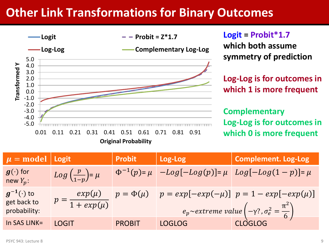#### **Other Link Transformations for Binary Outcomes**



**Logit = Probit\*1.7 which both assume symmetry of prediction**

**Log-Log is for outcomes in which 1 is more frequent**

**Complementary Log-Log is for outcomes in which 0 is more frequent**

| $\mu$ = model   Logit                             |                                            | <b>Probit</b> | Log-Log       | <b>Complement. Log-Log</b>                                                                                                                    |
|---------------------------------------------------|--------------------------------------------|---------------|---------------|-----------------------------------------------------------------------------------------------------------------------------------------------|
| $\bm{g}(\cdot)$ for<br>new $Y_p$ :                | $Log\left(\frac{p}{1-p}\right) = \mu$      |               |               | $\Phi^{-1}(p) = \mu$ $-Log[-Log(p)] = \mu$ $Log[-Log(1-p)] = \mu$                                                                             |
| $g^{-1}(\cdot)$ to<br>get back to<br>probability: | $exp(\mu)$<br>$p = \frac{1}{1 + exp(\mu)}$ |               |               | $p = \Phi(\mu)$ $p = exp[-exp(-\mu)]$ $p = 1 - exp[-exp(\mu)]$<br>$e_p$ ~extreme value $\left(-\gamma^2, \sigma_e^2 = \frac{\pi^2}{6}\right)$ |
| In SAS LINK=                                      | <b>LOGIT</b>                               | <b>PROBIT</b> | <b>LOGLOG</b> | <b>CLOGLOG</b>                                                                                                                                |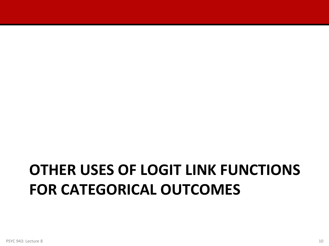# **OTHER USES OF LOGIT LINK FUNCTIONS FOR CATEGORICAL OUTCOMES**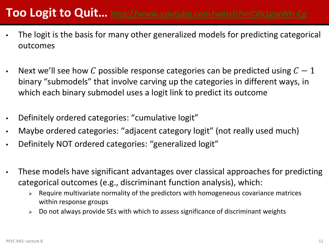## **Too Logit to Quit…<http://www.youtube.com/watch?v=Cdk1gwWH-Cg>**

- The logit is the basis for many other generalized models for predicting categorical outcomes
- Next we'll see how C possible response categories can be predicted using  $C-1$ binary "submodels" that involve carving up the categories in different ways, in which each binary submodel uses a logit link to predict its outcome
- Definitely ordered categories: "cumulative logit"
- Maybe ordered categories: "adjacent category logit" (not really used much)
- Definitely NOT ordered categories: "generalized logit"
- These models have significant advantages over classical approaches for predicting categorical outcomes (e.g., discriminant function analysis), which:
	- $\triangleright$  Require multivariate normality of the predictors with homogeneous covariance matrices within response groups
	- $\triangleright$  Do not always provide SEs with which to assess significance of discriminant weights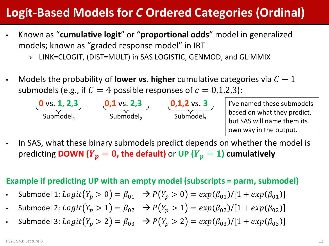- Known as "**cumulative logit**" or "**proportional odds**" model in generalized models; known as "graded response model" in IRT
	- LINK=CLOGIT, (DIST=MULT) in SAS LOGISTIC, GENMOD, and GLIMMIX
- Models the probability of **lower vs. higher** cumulative categories via  $C 1$ submodels (e.g., if  $C = 4$  possible responses of  $c = 0,1,2,3$ ):



I've named these submodels based on what they predict, but SAS will name them its own way in the output.

• In SAS, what these binary submodels predict depends on whether the model is predicting **DOWN** ( $Y_p = 0$ , the default) or UP ( $Y_p = 1$ ) cumulatively

#### **Example if predicting UP with an empty model (subscripts = parm, submodel)**

- Submodel 1:  $Logit(Y_p > 0) = \beta_{01} \rightarrow P(Y_p > 0) = exp(\beta_{01})/[1 + exp(\beta_{01})]$
- Submodel 2:  $Logit(Y_p > 1) = \beta_{02} \rightarrow P(Y_p > 1) = exp(\beta_{02})/[1 + exp(\beta_{02})]$
- Submodel 3:  $Logit(Y_p > 2) = \beta_{03} \rightarrow P(Y_p > 2) = exp(\beta_{03})/[1 + exp(\beta_{03})]$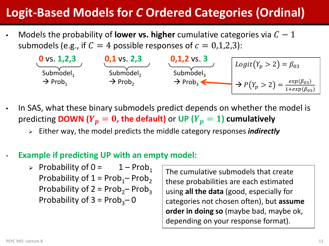Models the probability of **lower vs. higher** cumulative categories via  $C - 1$ submodels (e.g., if  $C = 4$  possible responses of  $c = 0,1,2,3$ ):



- In SAS, what these binary submodels predict depends on whether the model is predicting **DOWN** ( $Y_p = 0$ , the default) or UP ( $Y_p = 1$ ) cumulatively
	- Either way, the model predicts the middle category responses *indirectly*

#### • **Example if predicting UP with an empty model:**

 $\triangleright$  Probability of 0 = 1 – Prob<sub>1</sub> Probability of  $1 = Prob<sub>1</sub> - Prob<sub>2</sub>$ Probability of  $2 = Prob_2$ – Prob<sub>3</sub> Probability of  $3 = Prob_3 - 0$ 

The cumulative submodels that create these probabilities are each estimated using **all the data** (good, especially for categories not chosen often), but **assume order in doing so** (maybe bad, maybe ok, depending on your response format).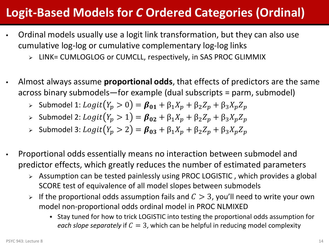- Ordinal models usually use a logit link transformation, but they can also use cumulative log-log or cumulative complementary log-log links
	- LINK= CUMLOGLOG or CUMCLL, respectively, in SAS PROC GLIMMIX
- Almost always assume **proportional odds**, that effects of predictors are the same across binary submodels—for example (dual subscripts = parm, submodel)
	- Submodel 1:  $Logit(Y_p > 0) = \beta_{01} + \beta_1 X_p + \beta_2 Z_p + \beta_3 X_p Z_p$
	- > Submodel 2: *Logit*(*Y<sub>p</sub>* > 1) =  $β_{02} + β_1X_p + β_2Z_p + β_3X_pZ_p$
	- > Submodel 3:  $Logit(Y_p > 2) = \beta_{03} + \beta_1 X_p + \beta_2 Z_p + \beta_3 X_p Z_p$
- Proportional odds essentially means no interaction between submodel and predictor effects, which greatly reduces the number of estimated parameters
	- Assumption can be tested painlessly using PROC LOGISTIC , which provides a global SCORE test of equivalence of all model slopes between submodels
	- If the proportional odds assumption fails and  $C > 3$ , you'll need to write your own model non-proportional odds ordinal model in PROC NLMIXED
		- Stay tuned for how to trick LOGISTIC into testing the proportional odds assumption for *each slope separately* if  $C = 3$ , which can be helpful in reducing model complexity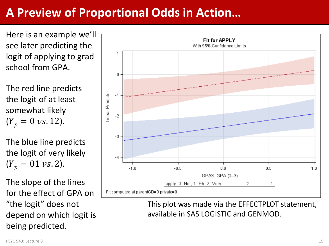#### **A Preview of Proportional Odds in Action…**

Here is an example we'll see later predicting the logit of applying to grad school from GPA.

The red line predicts the logit of at least somewhat likely  $(Y_p = 0 \text{ vs. } 12).$ 

The blue line predicts the logit of very likely  $(Y_p = 01 \text{ vs. 2}).$ 

The slope of the lines for the effect of GPA on "the logit" does not depend on which logit is being predicted.



This plot was made via the EFFECTPLOT statement, available in SAS LOGISTIC and GENMOD.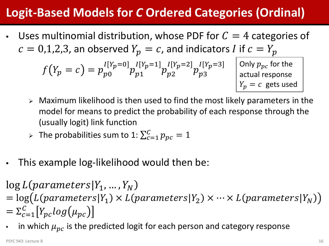Uses multinomial distribution, whose PDF for  $C = 4$  categories of  $c = 0.1, 2.3$ , an observed  $Y_p = c$ , and indicators *I* if  $c = Y_p$ 

$$
f(Y_p = c) = p_{p0}^{I[Y_p = 0]} p_{p1}^{I[Y_p = 1]} p_{p2}^{I[Y_p = 2]} p_{p3}^{I[Y_p = 3]}
$$

Only  $p_{pc}$  for the actual response  $Y_n = c$  gets used

- $\triangleright$  Maximum likelihood is then used to find the most likely parameters in the model for means to predict the probability of each response through the (usually logit) link function
- > The probabilities sum to 1:  $\sum_{c=1}^{C} p_{pc} = 1$
- This example log-likelihood would then be:

 $log L(parameters | Y_1, ..., Y_N)$ 

- $=$  log(L(parameters|Y<sub>1</sub>)  $\times$  L(parameters|Y<sub>2</sub>)  $\times \cdots \times$  L(parameters|Y<sub>N</sub>))  $=\Sigma_{c=1}^C\left[Y_{pc}log(\mu_{pc}\right]$
- in which  $\mu_{pc}$  is the predicted logit for each person and category response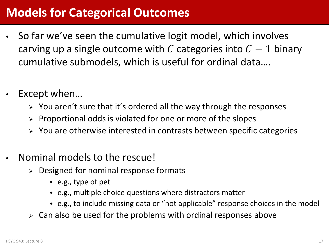#### **Models for Categorical Outcomes**

- So far we've seen the cumulative logit model, which involves carving up a single outcome with C categories into  $C-1$  binary cumulative submodels, which is useful for ordinal data….
- Except when...
	- $\triangleright$  You aren't sure that it's ordered all the way through the responses
	- $\triangleright$  Proportional odds is violated for one or more of the slopes
	- $\triangleright$  You are otherwise interested in contrasts between specific categories
- Nominal models to the rescue!
	- $\triangleright$  Designed for nominal response formats
		- e.g., type of pet
		- e.g., multiple choice questions where distractors matter
		- e.g., to include missing data or "not applicable" response choices in the model
	- $\ge$  Can also be used for the problems with ordinal responses above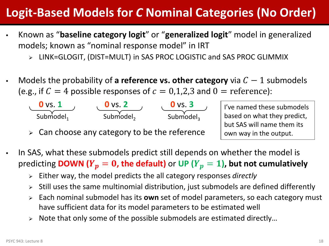## **Logit-Based Models for** *C* **Nominal Categories (No Order)**

- Known as "**baseline category logit**" or "**generalized logit**" model in generalized models; known as "nominal response model" in IRT
	- LINK=GLOGIT, (DIST=MULT) in SAS PROC LOGISTIC and SAS PROC GLIMMIX
- Models the probability of **a reference vs. other category** via  $C 1$  submodels (e.g., if  $C = 4$  possible responses of  $c = 0,1,2,3$  and  $0 =$  reference):

![](_page_17_Figure_4.jpeg)

 $\triangleright$  Can choose any category to be the reference

I've named these submodels based on what they predict, but SAS will name them its own way in the output.

- In SAS, what these submodels predict still depends on whether the model is predicting **DOWN (** $Y_p = 0$ **, the default)** or UP ( $Y_p = 1$ ), but not cumulatively
	- Either way, the model predicts the all category responses *directly*
	- $\triangleright$  Still uses the same multinomial distribution, just submodels are defined differently
	- Each nominal submodel has its **own** set of model parameters, so each category must have sufficient data for its model parameters to be estimated well
	- $\triangleright$  Note that only some of the possible submodels are estimated directly...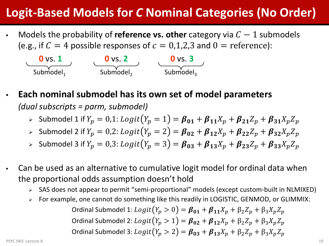## **Logit-Based Models for** *C* **Nominal Categories (No Order)**

Models the probability of **reference vs. other** category via  $C - 1$  submodels (e.g., if  $C = 4$  possible responses of  $c = 0,1,2,3$  and  $0 =$  reference):

![](_page_18_Figure_2.jpeg)

- **Each nominal submodel has its own set of model parameters** *(dual subscripts = parm, submodel)*
	- Submodel 1 if  $Y_p = 0.1$ :  $Logit(Y_p = 1) = \beta_{01} + \beta_{11}X_p + \beta_{21}Z_p + \beta_{31}X_pZ_p$
	- Submodel 2 if  $Y_p = 0.2$ :  $Logit(Y_p = 2) = \beta_{02} + \beta_{12}X_p + \beta_{22}Z_p + \beta_{32}X_pZ_p$
	- Submodel 3 if  $Y_p = 0.3$ :  $Logit(Y_p = 3) = \beta_{03} + \beta_{13}X_p + \beta_{23}Z_p + \beta_{33}X_pZ_p$
- Can be used as an alternative to cumulative logit model for ordinal data when the proportional odds assumption doesn't hold
	- SAS does not appear to permit "semi-proportional" models (except custom-built in NLMIXED)
	- For example, one cannot do something like this readily in LOGISTIC, GENMOD, or GLIMMIX:

Ordinal Submodel 1:  $Logit(Y_p > 0) = \beta_{01} + \beta_{11}X_p + \beta_2 Z_p + \beta_3 X_p Z_p$ Ordinal Submodel 2:  $Logit(Y_p > 1) = \beta_{02} + \beta_{12}X_p + \beta_2Z_p + \beta_3X_pZ_p$ Ordinal Submodel 3:  $Logit(Y_p > 2) = \beta_{03} + \beta_{13}X_p + \beta_2 Z_p + \beta_3 X_p Z_p$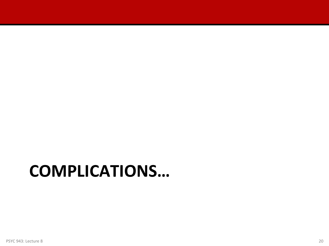# **COMPLICATIONS…**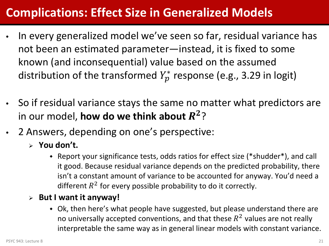#### **Complications: Effect Size in Generalized Models**

- In every generalized model we've seen so far, residual variance has not been an estimated parameter—instead, it is fixed to some known (and inconsequential) value based on the assumed distribution of the transformed  $Y_{p}^{\ast}$  response (e.g., 3.29 in logit)
- So if residual variance stays the same no matter what predictors are in our model, **how do we think about**  $R^2$ ?
- 2 Answers, depending on one's perspective:
	- **You don't.** 
		- Report your significance tests, odds ratios for effect size (\*shudder\*), and call it good. Because residual variance depends on the predicted probability, there isn't a constant amount of variance to be accounted for anyway. You'd need a different  $R^2$  for every possible probability to do it correctly.
	- **But I want it anyway!** 
		- Ok, then here's what people have suggested, but please understand there are no universally accepted conventions, and that these  $R^2$  values are not really interpretable the same way as in general linear models with constant variance.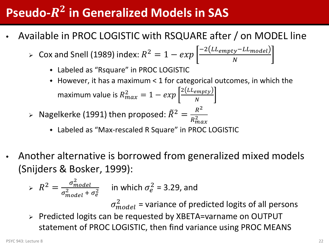# **Pseudo-** $R^2$  **in Generalized Models in SAS**

- Available in PROC LOGISTIC with RSQUARE after / on MODEL line
	- > Cox and Snell (1989) index:  $R^2 = 1 exp \left[ \frac{-2(LL_{empty}-LL_{model})}{N} \right]$ 
		- Labeled as "Rsquare" in PROC LOGISTIC
		- However, it has a maximum < 1 for categorical outcomes, in which the maximum value is  $R_{max}^2 = 1 - exp \left| \frac{2(LL_{empty})}{N} \right|$  $\boldsymbol{N}$
	- $\triangleright$  Nagelkerke (1991) then proposed:  $\tilde{R}^2 =$  $R^2$  $R_{max}^2$ 
		- Labeled as "Max-rescaled R Square" in PROC LOGISTIC
- Another alternative is borrowed from generalized mixed models (Snijders & Bosker, 1999):

$$
\Rightarrow R^2 = \frac{\sigma_{model}^2}{\sigma_{model}^2 + \sigma_e^2}
$$
 in which  $\sigma_e^2 = 3.29$ , and

 $\sigma_{model}^2$  = variance of predicted logits of all persons

 Predicted logits can be requested by XBETA=varname on OUTPUT statement of PROC LOGISTIC, then find variance using PROC MEANS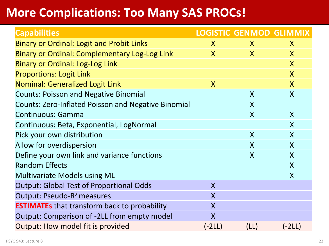#### **More Complications: Too Many SAS PROCs!**

| <b>Capabilities</b>                                        |                         | LOGISTIC GENMOD GLIMMIX |                         |
|------------------------------------------------------------|-------------------------|-------------------------|-------------------------|
| <b>Binary or Ordinal: Logit and Probit Links</b>           | $\mathsf{X}$            | $\mathsf{X}$            | $\mathsf{X}$            |
| <b>Binary or Ordinal: Complementary Log-Log Link</b>       | $\overline{X}$          | $\mathsf{X}$            | $\mathsf{X}$            |
| <b>Binary or Ordinal: Log-Log Link</b>                     |                         |                         | $\overline{\mathsf{X}}$ |
| <b>Proportions: Logit Link</b>                             |                         |                         | $\mathsf{X}$            |
| <b>Nominal: Generalized Logit Link</b>                     | $\overline{\mathsf{X}}$ |                         | $\overline{\mathsf{X}}$ |
| <b>Counts: Poisson and Negative Binomial</b>               |                         | $\boldsymbol{X}$        | $\boldsymbol{X}$        |
| <b>Counts: Zero-Inflated Poisson and Negative Binomial</b> |                         | $\boldsymbol{X}$        |                         |
| <b>Continuous: Gamma</b>                                   |                         | $\boldsymbol{X}$        | $\sf X$                 |
| Continuous: Beta, Exponential, LogNormal                   |                         |                         | $\mathsf{X}$            |
| Pick your own distribution                                 |                         | $\mathsf{X}$            | $\mathsf{X}$            |
| Allow for overdispersion                                   |                         | $\boldsymbol{X}$        | $\boldsymbol{X}$        |
| Define your own link and variance functions                |                         | $\boldsymbol{X}$        | $\mathsf{X}$            |
| <b>Random Effects</b>                                      |                         |                         | $\boldsymbol{X}$        |
| <b>Multivariate Models using ML</b>                        |                         |                         | $\boldsymbol{X}$        |
| <b>Output: Global Test of Proportional Odds</b>            | $\overline{\mathsf{X}}$ |                         |                         |
| Output: Pseudo-R <sup>2</sup> measures                     | X                       |                         |                         |
| <b>ESTIMATEs</b> that transform back to probability        | $\sf X$                 |                         |                         |
| Output: Comparison of -2LL from empty model                | $\overline{\mathsf{X}}$ |                         |                         |
| Output: How model fit is provided                          | $(-2LL)$                | (LL)                    | $(-2LL)$                |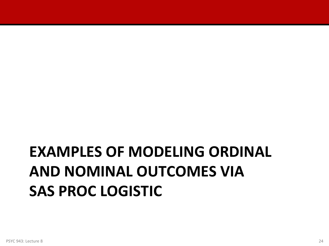# **EXAMPLES OF MODELING ORDINAL AND NOMINAL OUTCOMES VIA SAS PROC LOGISTIC**